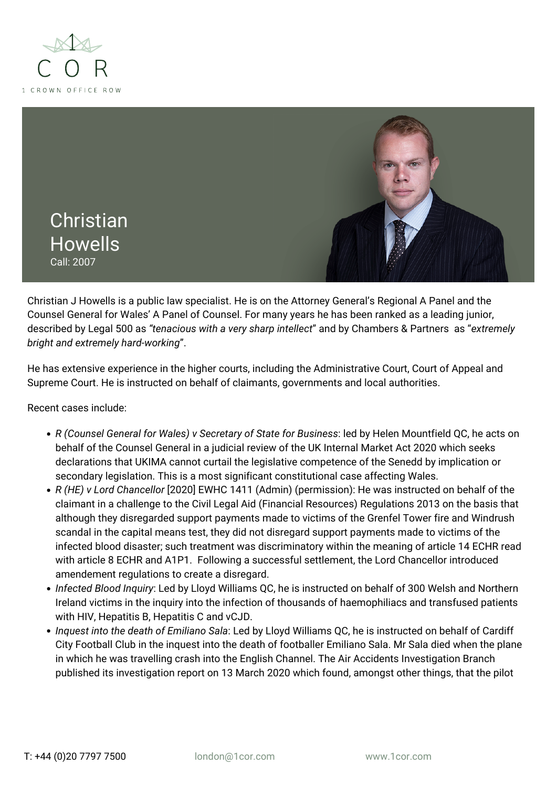



Christian J Howells is a public law specialist. He is on the Attorney General's Regional A Panel and the Counsel General for Wales' A Panel of Counsel. For many years he has been ranked as a leading junior, described by Legal 500 as *"tenacious with a very sharp intellect*" and by Chambers & Partners as "*extremely bright and extremely hard-working*".

He has extensive experience in the higher courts, including the Administrative Court, Court of Appeal and Supreme Court. He is instructed on behalf of claimants, governments and local authorities.

Recent cases include:

- *R (Counsel General for Wales) v Secretary of State for Business*: led by Helen Mountfield QC, he acts on behalf of the Counsel General in a judicial review of the UK Internal Market Act 2020 which seeks declarations that UKIMA cannot curtail the legislative competence of the Senedd by implication or secondary legislation. This is a most significant constitutional case affecting Wales.
- *R (HE) v Lord Chancellor* [2020] EWHC 1411 (Admin) (permission): He was instructed on behalf of the claimant in a challenge to the Civil Legal Aid (Financial Resources) Regulations 2013 on the basis that although they disregarded support payments made to victims of the Grenfel Tower fire and Windrush scandal in the capital means test, they did not disregard support payments made to victims of the infected blood disaster; such treatment was discriminatory within the meaning of article 14 ECHR read with article 8 ECHR and A1P1. Following a successful settlement, the Lord Chancellor introduced amendement regulations to create a disregard.
- *Infected Blood Inquiry*: Led by Lloyd Williams QC, he is instructed on behalf of 300 Welsh and Northern Ireland victims in the inquiry into the infection of thousands of haemophiliacs and transfused patients with HIV, Hepatitis B, Hepatitis C and vCJD.
- *Inquest into the death of Emiliano Sala*: Led by Lloyd Williams QC, he is instructed on behalf of Cardiff City Football Club in the inquest into the death of footballer Emiliano Sala. Mr Sala died when the plane in which he was travelling crash into the English Channel. The Air Accidents Investigation Branch published its investigation report on 13 March 2020 which found, amongst other things, that the pilot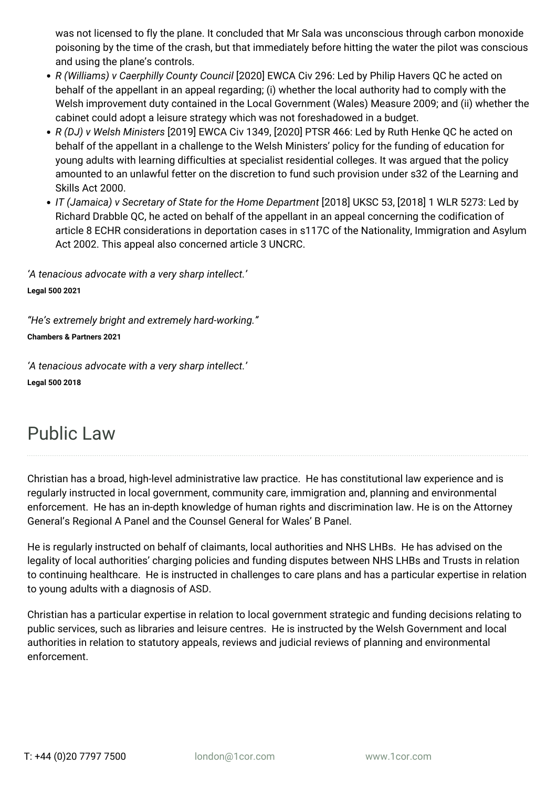was not licensed to fly the plane. It concluded that Mr Sala was unconscious through carbon monoxide poisoning by the time of the crash, but that immediately before hitting the water the pilot was conscious and using the plane's controls.

- *R (Williams) v Caerphilly County Council* [2020] EWCA Civ 296: Led by Philip Havers QC he acted on behalf of the appellant in an appeal regarding; (i) whether the local authority had to comply with the Welsh improvement duty contained in the Local Government (Wales) Measure 2009; and (ii) whether the cabinet could adopt a leisure strategy which was not foreshadowed in a budget.
- *R (DJ) v Welsh Ministers* [2019] EWCA Civ 1349, [2020] PTSR 466: Led by Ruth Henke QC he acted on behalf of the appellant in a challenge to the Welsh Ministers' policy for the funding of education for young adults with learning difficulties at specialist residential colleges. It was argued that the policy amounted to an unlawful fetter on the discretion to fund such provision under s32 of the Learning and Skills Act 2000.
- *IT (Jamaica) v Secretary of State for the Home Department* [2018] UKSC 53, [2018] 1 WLR 5273: Led by Richard Drabble QC, he acted on behalf of the appellant in an appeal concerning the codification of article 8 ECHR considerations in deportation cases in s117C of the Nationality, Immigration and Asylum Act 2002. This appeal also concerned article 3 UNCRC.

*'A tenacious advocate with a very sharp intellect.'* **Legal 500 2021**

*"He's extremely bright and extremely hard-working."* **Chambers & Partners 2021**

*'A tenacious advocate with a very sharp intellect.'* **Legal 500 2018**

# Public Law

Christian has a broad, high-level administrative law practice. He has constitutional law experience and is regularly instructed in local government, community care, immigration and, planning and environmental enforcement. He has an in-depth knowledge of human rights and discrimination law. He is on the Attorney General's Regional A Panel and the Counsel General for Wales' B Panel.

He is regularly instructed on behalf of claimants, local authorities and NHS LHBs. He has advised on the legality of local authorities' charging policies and funding disputes between NHS LHBs and Trusts in relation to continuing healthcare. He is instructed in challenges to care plans and has a particular expertise in relation to young adults with a diagnosis of ASD.

Christian has a particular expertise in relation to local government strategic and funding decisions relating to public services, such as libraries and leisure centres. He is instructed by the Welsh Government and local authorities in relation to statutory appeals, reviews and judicial reviews of planning and environmental enforcement.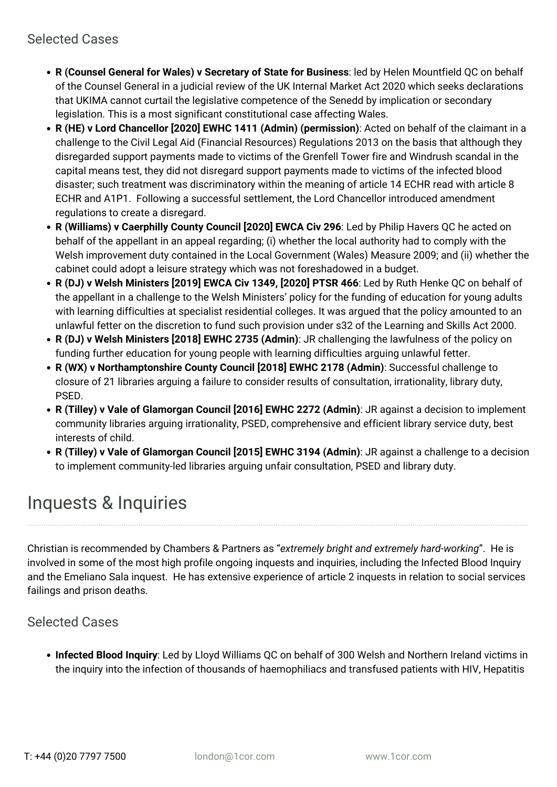- **R (Counsel General for Wales) v Secretary of State for Business**: led by Helen Mountfield QC on behalf of the Counsel General in a judicial review of the UK Internal Market Act 2020 which seeks declarations that UKIMA cannot curtail the legislative competence of the Senedd by implication or secondary legislation. This is a most significant constitutional case affecting Wales.
- **R (HE) v Lord Chancellor [2020] EWHC 1411 (Admin) (permission)**: Acted on behalf of the claimant in a challenge to the Civil Legal Aid (Financial Resources) Regulations 2013 on the basis that although they disregarded support payments made to victims of the Grenfell Tower fire and Windrush scandal in the capital means test, they did not disregard support payments made to victims of the infected blood disaster; such treatment was discriminatory within the meaning of article 14 ECHR read with article 8 ECHR and A1P1. Following a successful settlement, the Lord Chancellor introduced amendment regulations to create a disregard.
- **R (Williams) v Caerphilly County Council [2020] EWCA Civ 296**: Led by Philip Havers QC he acted on behalf of the appellant in an appeal regarding; (i) whether the local authority had to comply with the Welsh improvement duty contained in the Local Government (Wales) Measure 2009; and (ii) whether the cabinet could adopt a leisure strategy which was not foreshadowed in a budget.
- **R (DJ) v Welsh Ministers [2019] EWCA Civ 1349, [2020] PTSR 466**: Led by Ruth Henke QC on behalf of the appellant in a challenge to the Welsh Ministers' policy for the funding of education for young adults with learning difficulties at specialist residential colleges. It was argued that the policy amounted to an unlawful fetter on the discretion to fund such provision under s32 of the Learning and Skills Act 2000.
- **R (DJ) v Welsh Ministers [2018] EWHC 2735 (Admin)**: JR challenging the lawfulness of the policy on funding further education for young people with learning difficulties arguing unlawful fetter.
- **R (WX) v Northamptonshire County Council [2018] EWHC 2178 (Admin)**: Successful challenge to closure of 21 libraries arguing a failure to consider results of consultation, irrationality, library duty, PSED.
- **R (Tilley) v Vale of Glamorgan Council [2016] EWHC 2272 (Admin)**: JR against a decision to implement community libraries arguing irrationality, PSED, comprehensive and efficient library service duty, best interests of child.
- **R (Tilley) v Vale of Glamorgan Council [2015] EWHC 3194 (Admin)**: JR against a challenge to a decision to implement community-led libraries arguing unfair consultation, PSED and library duty.

# Inquests & Inquiries

Christian is recommended by Chambers & Partners as "*extremely bright and extremely hard-working*". He is involved in some of the most high profile ongoing inquests and inquiries, including the Infected Blood Inquiry and the Emeliano Sala inquest. He has extensive experience of article 2 inquests in relation to social services failings and prison deaths.

## Selected Cases

**Infected Blood Inquiry**: Led by Lloyd Williams QC on behalf of 300 Welsh and Northern Ireland victims in the inquiry into the infection of thousands of haemophiliacs and transfused patients with HIV, Hepatitis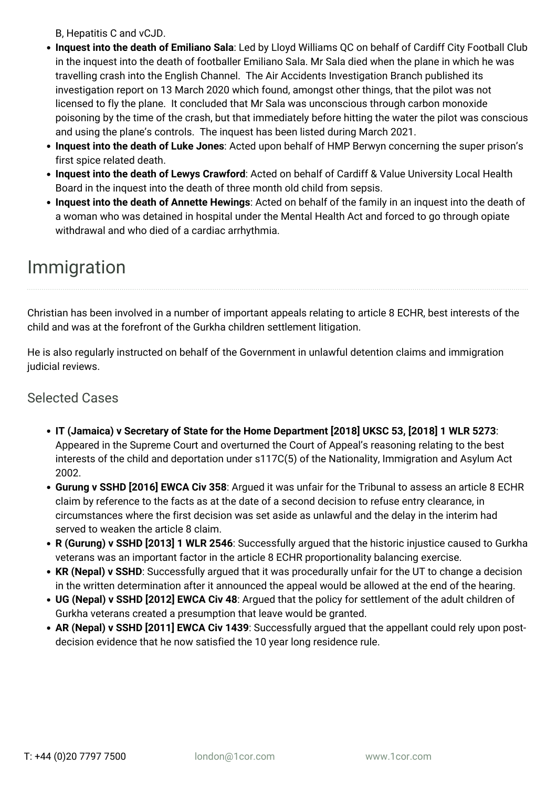B, Hepatitis C and vCJD.

- **Inquest into the death of Emiliano Sala**: Led by Lloyd Williams QC on behalf of Cardiff City Football Club in the inquest into the death of footballer Emiliano Sala. Mr Sala died when the plane in which he was travelling crash into the English Channel. The Air Accidents Investigation Branch published its investigation report on 13 March 2020 which found, amongst other things, that the pilot was not licensed to fly the plane. It concluded that Mr Sala was unconscious through carbon monoxide poisoning by the time of the crash, but that immediately before hitting the water the pilot was conscious and using the plane's controls. The inquest has been listed during March 2021.
- **Inquest into the death of Luke Jones**: Acted upon behalf of HMP Berwyn concerning the super prison's first spice related death.
- **Inquest into the death of Lewys Crawford**: Acted on behalf of Cardiff & Value University Local Health Board in the inquest into the death of three month old child from sepsis.
- **Inquest into the death of Annette Hewings**: Acted on behalf of the family in an inquest into the death of a woman who was detained in hospital under the Mental Health Act and forced to go through opiate withdrawal and who died of a cardiac arrhythmia.

## Immigration

Christian has been involved in a number of important appeals relating to article 8 ECHR, best interests of the child and was at the forefront of the Gurkha children settlement litigation.

He is also regularly instructed on behalf of the Government in unlawful detention claims and immigration judicial reviews.

## Selected Cases

- **IT (Jamaica) v Secretary of State for the Home Department [2018] UKSC 53, [2018] 1 WLR 5273**: Appeared in the Supreme Court and overturned the Court of Appeal's reasoning relating to the best interests of the child and deportation under s117C(5) of the Nationality, Immigration and Asylum Act 2002.
- **Gurung v SSHD [2016] EWCA Civ 358**: Argued it was unfair for the Tribunal to assess an article 8 ECHR claim by reference to the facts as at the date of a second decision to refuse entry clearance, in circumstances where the first decision was set aside as unlawful and the delay in the interim had served to weaken the article 8 claim.
- **R (Gurung) v SSHD [2013] 1 WLR 2546**: Successfully argued that the historic injustice caused to Gurkha veterans was an important factor in the article 8 ECHR proportionality balancing exercise.
- KR (Nepal) v SSHD: Successfully argued that it was procedurally unfair for the UT to change a decision in the written determination after it announced the appeal would be allowed at the end of the hearing.
- **UG (Nepal) v SSHD [2012] EWCA Civ 48**: Argued that the policy for settlement of the adult children of Gurkha veterans created a presumption that leave would be granted.
- **AR (Nepal) v SSHD [2011] EWCA Civ 1439**: Successfully argued that the appellant could rely upon postdecision evidence that he now satisfied the 10 year long residence rule.